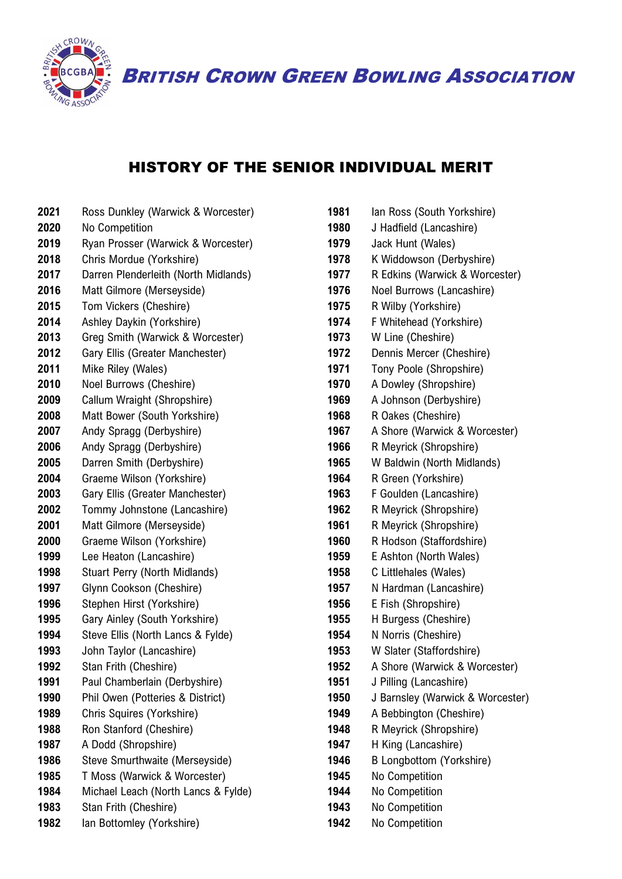

BRITISH CROWN GREEN BOWLING ASSOCIATION

## HISTORY OF THE SENIOR INDIVIDUAL MERIT

- Ross Dunkley (Warwick & Worcester)
- No Competition Ryan Prosser (Warwick & Worcester)
- Chris Mordue (Yorkshire)
- Darren Plenderleith (North Midlands)
- Matt Gilmore (Merseyside)
- Tom Vickers (Cheshire)
- Ashley Daykin (Yorkshire)
- Greg Smith (Warwick & Worcester)
- Gary Ellis (Greater Manchester)
- Mike Riley (Wales)
- Noel Burrows (Cheshire)
- Callum Wraight (Shropshire)
- Matt Bower (South Yorkshire)
- Andy Spragg (Derbyshire)
- Andy Spragg (Derbyshire)
- Darren Smith (Derbyshire)
- Graeme Wilson (Yorkshire)
- Gary Ellis (Greater Manchester) Tommy Johnstone (Lancashire)
- Matt Gilmore (Merseyside)
- Graeme Wilson (Yorkshire)
- Lee Heaton (Lancashire)
- Stuart Perry (North Midlands)
- Glynn Cookson (Cheshire)
- Stephen Hirst (Yorkshire)
- Gary Ainley (South Yorkshire)
- Steve Ellis (North Lancs & Fylde)
- John Taylor (Lancashire)
- Stan Frith (Cheshire)
- 1991 Paul Chamberlain (Derbyshire)
- Phil Owen (Potteries & District)
- Chris Squires (Yorkshire)
- 1988 Ron Stanford (Cheshire)
- A Dodd (Shropshire)
- Steve Smurthwaite (Merseyside)
- T Moss (Warwick & Worcester)
- Michael Leach (North Lancs & Fylde)
- Stan Frith (Cheshire)
- Ian Bottomley (Yorkshire)

| 1981 | Ian Ross (South Yorkshire)       |
|------|----------------------------------|
| 1980 | J Hadfield (Lancashire)          |
| 1979 | Jack Hunt (Wales)                |
| 1978 | K Widdowson (Derbyshire)         |
| 1977 | R Edkins (Warwick & Worcester)   |
| 1976 | Noel Burrows (Lancashire)        |
| 1975 | R Wilby (Yorkshire)              |
| 1974 | F Whitehead (Yorkshire)          |
| 1973 | W Line (Cheshire)                |
| 1972 | Dennis Mercer (Cheshire)         |
| 1971 | Tony Poole (Shropshire)          |
| 1970 | A Dowley (Shropshire)            |
| 1969 | A Johnson (Derbyshire)           |
| 1968 | R Oakes (Cheshire)               |
| 1967 | A Shore (Warwick & Worcester)    |
| 1966 | R Meyrick (Shropshire)           |
| 1965 | W Baldwin (North Midlands)       |
| 1964 | R Green (Yorkshire)              |
| 1963 | F Goulden (Lancashire)           |
| 1962 | R Meyrick (Shropshire)           |
| 1961 | R Meyrick (Shropshire)           |
| 1960 | R Hodson (Staffordshire)         |
| 1959 | E Ashton (North Wales)           |
| 1958 | C Littlehales (Wales)            |
| 1957 | N Hardman (Lancashire)           |
| 1956 | E Fish (Shropshire)              |
| 1955 | H Burgess (Cheshire)             |
| 1954 | N Norris (Cheshire)              |
| 1953 | W Slater (Staffordshire)         |
| 1952 | A Shore (Warwick & Worcester)    |
| 1951 | J Pilling (Lancashire)           |
| 1950 | J Barnsley (Warwick & Worcester) |
| 1949 | A Bebbington (Cheshire)          |
| 1948 | R Meyrick (Shropshire)           |
| 1947 | H King (Lancashire)              |
| 1946 | <b>B Longbottom (Yorkshire)</b>  |
| 1945 | No Competition                   |
| 1944 | No Competition                   |
| 1943 | No Competition                   |
| 1942 | No Competition                   |
|      |                                  |